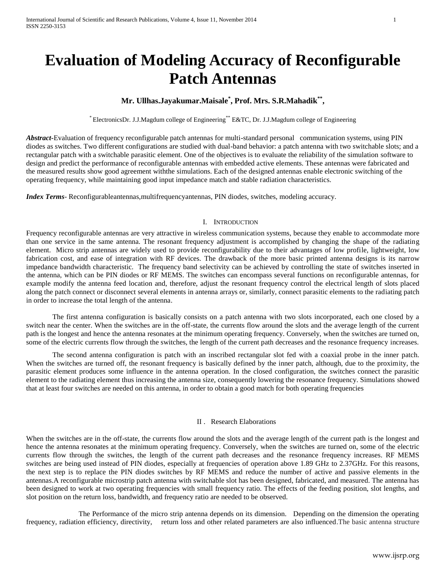# **Evaluation of Modeling Accuracy of Reconfigurable Patch Antennas**

# **Mr. Ullhas.Jayakumar.Maisale\* , Prof. Mrs. S.R.Mahadik\*\* ,**

\* ElectronicsDr. J.J.Magdum college of Engineering\*\* E&TC, Dr. J.J.Magdum college of Engineering

*Abstract***-**Evaluation of frequency reconfigurable patch antennas for multi-standard personal communication systems, using PIN diodes as switches. Two different configurations are studied with dual-band behavior: a patch antenna with two switchable slots; and a rectangular patch with a switchable parasitic element. One of the objectives is to evaluate the reliability of the simulation software to design and predict the performance of reconfigurable antennas with embedded active elements. These antennas were fabricated and the measured results show good agreement withthe simulations. Each of the designed antennas enable electronic switching of the operating frequency, while maintaining good input impedance match and stable radiation characteristics.

*Index Terms*- Reconfigurableantennas,multifrequencyantennas, PIN diodes, switches, modeling accuracy.

### I. INTRODUCTION

Frequency reconfigurable antennas are very attractive in wireless communication systems, because they enable to accommodate more than one service in the same antenna. The resonant frequency adjustment is accomplished by changing the shape of the radiating element. Micro strip antennas are widely used to provide reconfigurability due to their advantages of low profile, lightweight, low fabrication cost, and ease of integration with RF devices. The drawback of the more basic printed antenna designs is its narrow impedance bandwidth characteristic. The frequency band selectivity can be achieved by controlling the state of switches inserted in the antenna, which can be PIN diodes or RF MEMS. The switches can encompass several functions on reconfigurable antennas, for example modify the antenna feed location and, therefore, adjust the resonant frequency control the electrical length of slots placed along the patch connect or disconnect several elements in antenna arrays or, similarly, connect parasitic elements to the radiating patch in order to increase the total length of the antenna.

The first antenna configuration is basically consists on a patch antenna with two slots incorporated, each one closed by a switch near the center. When the switches are in the off-state, the currents flow around the slots and the average length of the current path is the longest and hence the antenna resonates at the minimum operating frequency. Conversely, when the switches are turned on, some of the electric currents flow through the switches, the length of the current path decreases and the resonance frequency increases.

The second antenna configuration is patch with an inscribed rectangular slot fed with a coaxial probe in the inner patch. When the switches are turned off, the resonant frequency is basically defined by the inner patch, although, due to the proximity, the parasitic element produces some influence in the antenna operation. In the closed configuration, the switches connect the parasitic element to the radiating element thus increasing the antenna size, consequently lowering the resonance frequency. Simulations showed that at least four switches are needed on this antenna, in order to obtain a good match for both operating frequencies

#### II . Research Elaborations

When the switches are in the off-state, the currents flow around the slots and the average length of the current path is the longest and hence the antenna resonates at the minimum operating frequency. Conversely, when the switches are turned on, some of the electric currents flow through the switches, the length of the current path decreases and the resonance frequency increases. RF MEMS switches are being used instead of PIN diodes, especially at frequencies of operation above 1.89 GHz to 2.37GHz. For this reasons, the next step is to replace the PIN diodes switches by RF MEMS and reduce the number of active and passive elements in the antennas.A reconfigurable microstrip patch antenna with switchable slot has been designed, fabricated, and measured. The antenna has been designed to work at two operating frequencies with small frequency ratio. The effects of the feeding position, slot lengths, and slot position on the return loss, bandwidth, and frequency ratio are needed to be observed.

The Performance of the micro strip antenna depends on its dimension. Depending on the dimension the operating frequency, radiation efficiency, directivity, return loss and other related parameters are also influenced.The basic antenna structure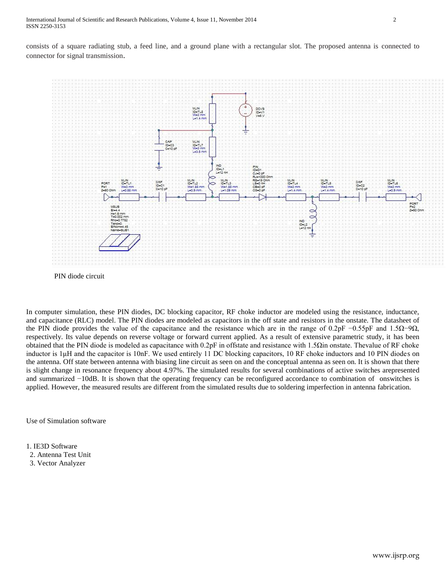consists of a square radiating stub, a feed line, and a ground plane with a rectangular slot. The proposed antenna is connected to connector for signal transmission.



PIN diode circuit

In computer simulation, these PIN diodes, DC blocking capacitor, RF choke inductor are modeled using the resistance, inductance, and capacitance (RLC) model. The PIN diodes are modeled as capacitors in the off state and resistors in the onstate. The datasheet of the PIN diode provides the value of the capacitance and the resistance which are in the range of 0.2pF −0.55pF and 1.5 $\Omega$ −9 $\Omega$ , respectively. Its value depends on reverse voltage or forward current applied. As a result of extensive parametric study, it has been obtained that the PIN diode is modeled as capacitance with 0.2pF in offstate and resistance with 1.5Ωin onstate. Thevalue of RF choke inductor is 1μH and the capacitor is 10nF. We used entirely 11 DC blocking capacitors, 10 RF choke inductors and 10 PIN diodes on the antenna. Off state between antenna with biasing line circuit as seen on and the conceptual antenna as seen on. It is shown that there is slight change in resonance frequency about 4.97%. The simulated results for several combinations of active switches arepresented and summarized −10dB. It is shown that the operating frequency can be reconfigured accordance to combination of onswitches is applied. However, the measured results are different from the simulated results due to soldering imperfection in antenna fabrication.

Use of Simulation software

1. IE3D Software

- 2. Antenna Test Unit
- 3. Vector Analyzer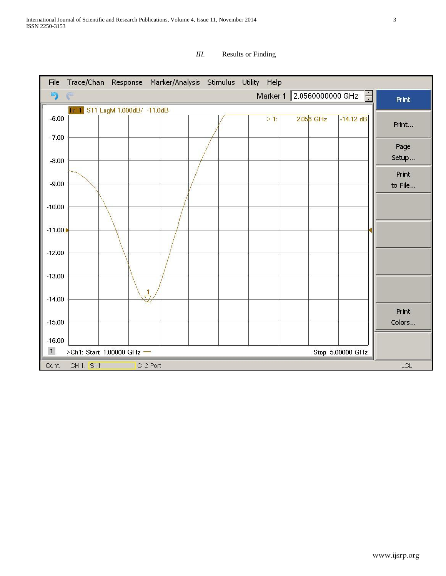

# *III.* Results or Finding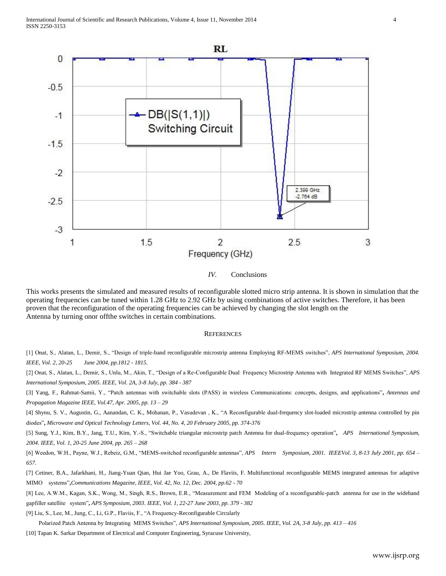

#### *IV.* Conclusions

This works presents the simulated and measured results of reconfigurable slotted micro strip antenna. It is shown in simulation that the operating frequencies can be tuned within 1.28 GHz to 2.92 GHz by using combinations of active switches. Therefore, it has been proven that the reconfiguration of the operating frequencies can be achieved by changing the slot length on the Antenna by turning onor offthe switches in certain combinations.

#### **REFERENCES**

[1] Onat, S., Alatan, L., Demir, S., "Design of triple-band reconfigurable microstrip antenna Employing RF-MEMS switches", *APS International Symposium, 2004. IEEE, Vol. 2, 20-25 June 2004, pp.1812 - 1815.*

[2] Onat, S., Alatan, L., Demir, S., Unlu, M., Akin, T., "Design of a Re-Configurable Dual Frequency Microstrip Antenna with Integrated RF MEMS Switches", *APS International Symposium, 2005. IEEE, Vol. 2A, 3-8 July, pp. 384 - 387* 

[3] Yang, F., Rahmat-Samii, Y., "Patch antennas with switchable slots (PASS) in wireless Communications: concepts, designs, and applications"**,** *Antennas and Propagation Magazine IEEE, Vol.47, Apr. 2005, pp. 13 – 29* 

[4] Shynu, S. V., Augustin, G., Aanandan, C. K., Mohanan, P., Vasudevan , K., "A Reconfigurable dual-frequency slot-loaded microstrip antenna controlled by pin diodes"**,** *Microwave and Optical Technology Letters, Vol. 44, No. 4, 20 February 2005, pp. 374-376*

[5] Sung, Y.J., Kim, B.Y., Jang, T.U., Kim, Y.-S., "Switchable triangular microstrip patch Antenna for dual-frequency operation"**,** *APS International Symposium, 2004. IEEE, Vol. 1, 20-25 June 2004, pp. 265 – 268* 

[6] Weedon, W.H., Payne, W.J., Rebeiz, G.M., "MEMS-switched reconfigurable antennas", *APS Intern Symposium, 2001. IEEEVol. 3, 8-13 July 2001, pp. 654 – 657.* 

[7] Cetiner, B.A., Jafarkhani, H., Jiang-Yuan Qian, Hui Jae Yoo, Grau, A., De Flaviis, F. Multifunctional reconfigurable MEMS integrated antennas for adaptive MIMO systems"**,***Communications Magazine, IEEE, Vol. 42, No. 12, Dec. 2004, pp.62 - 70*

[8] Lee, A.W.M., Kagan, S.K., Wong, M., Singh, R.S., Brown, E.R., "Measurement and FEM Modeling of a reconfigurable-patch antenna for use in the wideband gapfiller satellite system"**,** *APS Symposium, 2003. IEEE, Vol. 1, 22-27 June 2003, pp. 379 - 382*

[9] Liu, S., Lee, M., Jung, C., Li, G.P., Flaviis, F., "A Frequency-Reconfigurable Circularly

Polarized Patch Antenna by Integrating MEMS Switches", *APS International Symposium, 2005. IEEE, Vol. 2A, 3-8 July, pp. 413 – 416*

[10] Tapan K. Sarkar Department of Electrical and Computer Engineering, Syracuse University,